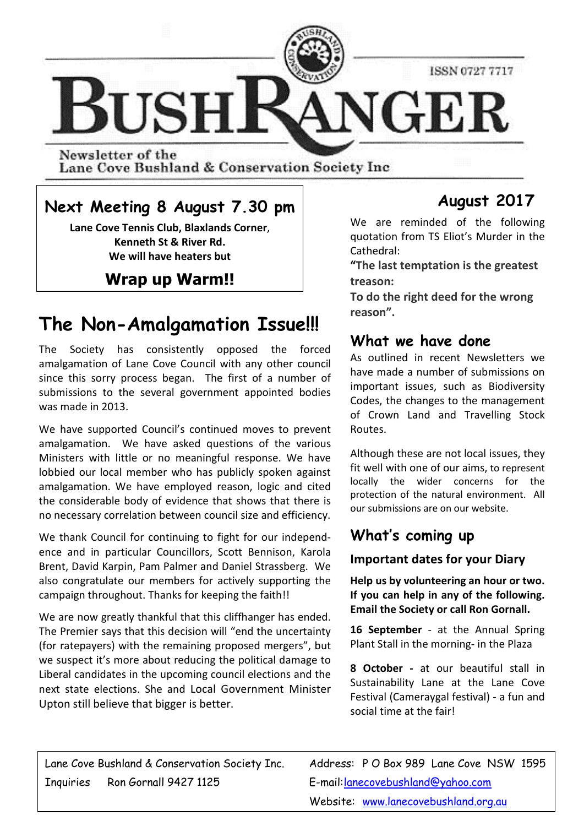

Newsletter of the Lane Cove Bushland & Conservation Society Inc

## **Next Meeting 8 August 7.30 pm**

**Lane Cove Tennis Club, Blaxlands Corner**, **Kenneth St & River Rd. We will have heaters but** 

## **Wrap up Warm!!**

# **The Non-Amalgamation Issue!!!**

The Society has consistently opposed the forced amalgamation of Lane Cove Council with any other council since this sorry process began. The first of a number of submissions to the several government appointed bodies was made in 2013.

We have supported Council's continued moves to prevent amalgamation. We have asked questions of the various Ministers with little or no meaningful response. We have lobbied our local member who has publicly spoken against amalgamation. We have employed reason, logic and cited the considerable body of evidence that shows that there is no necessary correlation between council size and efficiency.

We thank Council for continuing to fight for our independence and in particular Councillors, Scott Bennison, Karola Brent, David Karpin, Pam Palmer and Daniel Strassberg. We also congratulate our members for actively supporting the campaign throughout. Thanks for keeping the faith!!

We are now greatly thankful that this cliffhanger has ended. The Premier says that this decision will "end the uncertainty (for ratepayers) with the remaining proposed mergers", but we suspect it's more about reducing the political damage to Liberal candidates in the upcoming council elections and the next state elections. She and Local Government Minister Upton still believe that bigger is better.

## **August 2017**

We are reminded of the following quotation from TS Eliot's Murder in the Cathedral:

**"The last temptation is the greatest treason:** 

**To do the right deed for the wrong reason".**

### **What we have done**

As outlined in recent Newsletters we have made a number of submissions on important issues, such as Biodiversity Codes, the changes to the management of Crown Land and Travelling Stock Routes.

Although these are not local issues, they fit well with one of our aims, to represent locally the wider concerns for the protection of the natural environment. All our submissions are on our website.

## **What's coming up**

#### **Important dates for your Diary**

**Help us by volunteering an hour or two. If you can help in any of the following. Email the Society or call Ron Gornall.** 

16 **September** - at the Annual Spring Plant Stall in the morning- in the Plaza

**8 October -** at our beautiful stall in Sustainability Lane at the Lane Cove Festival (Cameraygal festival) - a fun and social time at the fair!

Lane Cove Bushland & Conservation Society Inc. Address: P O Box 989 Lane Cove NSW 1595 Inquiries Ron Gornall 9427 1125 E-mail: lanecovebushland@yahoo.com

Website: www.lanecovebushland.org.au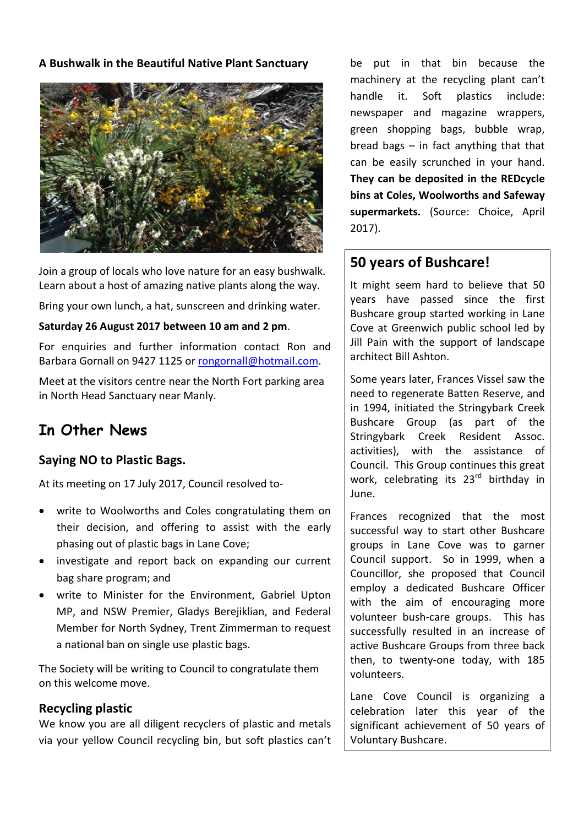#### **A Bushwalk in the Beautiful Native Plant Sanctuary**



Join a group of locals who love nature for an easy bushwalk. Learn about a host of amazing native plants along the way.

Bring your own lunch, a hat, sunscreen and drinking water.

#### **Saturday 26 August 2017 between 10 am and 2 pm**.

For enquiries and further information contact Ron and Barbara Gornall on 9427 1125 or rongornall@hotmail.com.

Meet at the visitors centre near the North Fort parking area in North Head Sanctuary near Manly.

## **In Other News**

#### **Saying NO to Plastic Bags.**

At its meeting on 17 July 2017, Council resolved to-

- write to Woolworths and Coles congratulating them on their decision, and offering to assist with the early phasing out of plastic bags in Lane Cove;
- investigate and report back on expanding our current bag share program; and
- write to Minister for the Environment, Gabriel Upton MP, and NSW Premier, Gladys Berejiklian, and Federal Member for North Sydney, Trent Zimmerman to request a national ban on single use plastic bags.

The Society will be writing to Council to congratulate them on this welcome move.

#### **Recycling plastic**

We know you are all diligent recyclers of plastic and metals via your yellow Council recycling bin, but soft plastics can't be put in that bin because the machinery at the recycling plant can't handle it. Soft plastics include: newspaper and magazine wrappers, green shopping bags, bubble wrap, bread bags – in fact anything that that can be easily scrunched in your hand. **They can be deposited in the REDcycle bins at Coles, Woolworths and Safeway supermarkets.** (Source: Choice, April 2017).

### **50 years of Bushcare!**

It might seem hard to believe that 50 years have passed since the first Bushcare group started working in Lane Cove at Greenwich public school led by Jill Pain with the support of landscape architect Bill Ashton.

Some years later, Frances Vissel saw the need to regenerate Batten Reserve, and in 1994, initiated the Stringybark Creek Bushcare Group (as part of the Stringybark Creek Resident Assoc. activities), with the assistance of Council. This Group continues this great work, celebrating its 23<sup>rd</sup> birthday in June.

Frances recognized that the most successful way to start other Bushcare groups in Lane Cove was to garner Council support. So in 1999, when a Councillor, she proposed that Council employ a dedicated Bushcare Officer with the aim of encouraging more volunteer bush-care groups. This has successfully resulted in an increase of active Bushcare Groups from three back then, to twenty-one today, with 185 volunteers.

Lane Cove Council is organizing a celebration later this year of the significant achievement of 50 years of Voluntary Bushcare.